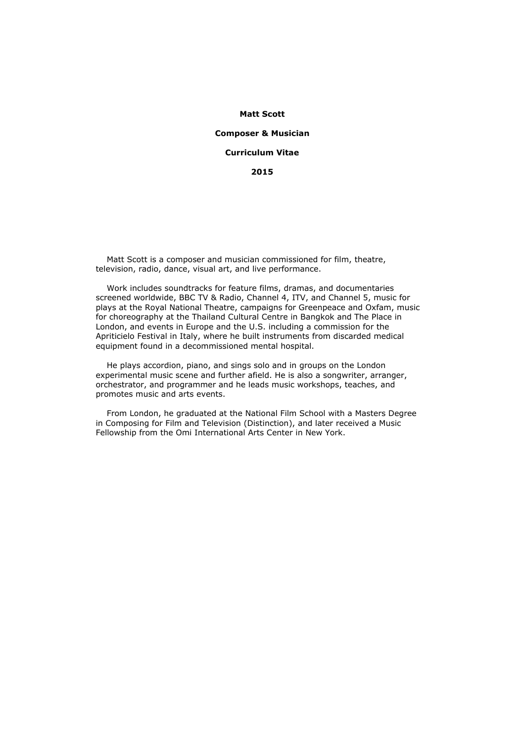#### **Matt Scott**

#### **Composer & Musician**

### **Curriculum Vitae**

## **2015**

 Matt Scott is a composer and musician commissioned for film, theatre, television, radio, dance, visual art, and live performance.

 Work includes soundtracks for feature films, dramas, and documentaries screened worldwide, BBC TV & Radio, Channel 4, ITV, and Channel 5, music for plays at the Royal National Theatre, campaigns for Greenpeace and Oxfam, music for choreography at the Thailand Cultural Centre in Bangkok and The Place in London, and events in Europe and the U.S. including a commission for the Apriticielo Festival in Italy, where he built instruments from discarded medical equipment found in a decommissioned mental hospital.

 He plays accordion, piano, and sings solo and in groups on the London experimental music scene and further afield. He is also a songwriter, arranger, orchestrator, and programmer and he leads music workshops, teaches, and promotes music and arts events.

 From London, he graduated at the National Film School with a Masters Degree in Composing for Film and Television (Distinction), and later received a Music Fellowship from the Omi International Arts Center in New York.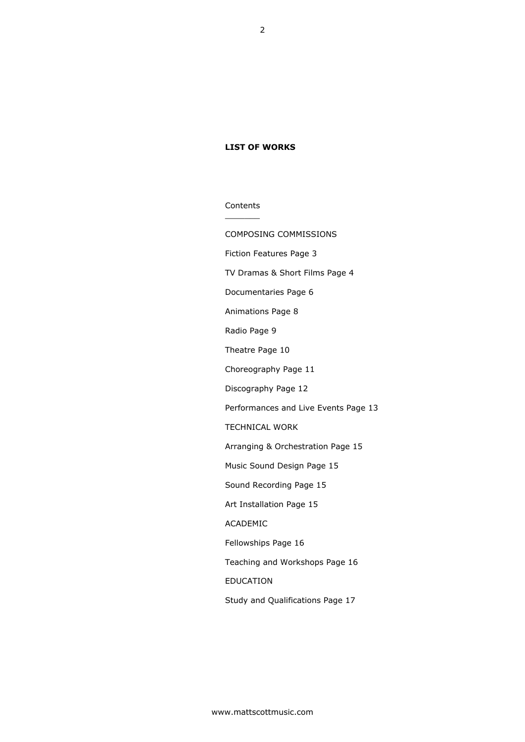## **LIST OF WORKS**

**Contents** \_\_\_\_\_\_\_

COMPOSING COMMISSIONS Fiction Features Page 3 TV Dramas & Short Films Page 4 Documentaries Page 6 Animations Page 8 Radio Page 9 Theatre Page 10 Choreography Page 11 Discography Page 12 Performances and Live Events Page 13 TECHNICAL WORK Arranging & Orchestration Page 15 Music Sound Design Page 15 Sound Recording Page 15 Art Installation Page 15 ACADEMIC Fellowships Page 16 Teaching and Workshops Page 16 EDUCATION Study and Qualifications Page 17

2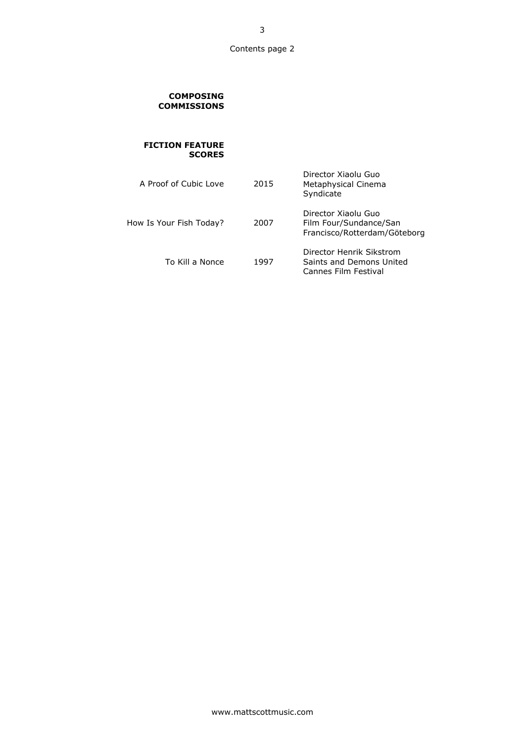## 00CO **COMPOSING COMMISSIONS**

## **FICTION FEATURE SCORES**

| A Proof of Cubic Love   | 2015 | Director Xiaolu Guo<br>Metaphysical Cinema<br>Syndicate                       |
|-------------------------|------|-------------------------------------------------------------------------------|
| How Is Your Fish Today? | 2007 | Director Xiaolu Guo<br>Film Four/Sundance/San<br>Francisco/Rotterdam/Göteborg |
| To Kill a Nonce         | 1997 | Director Henrik Sikstrom<br>Saints and Demons United<br>Cannes Film Festival  |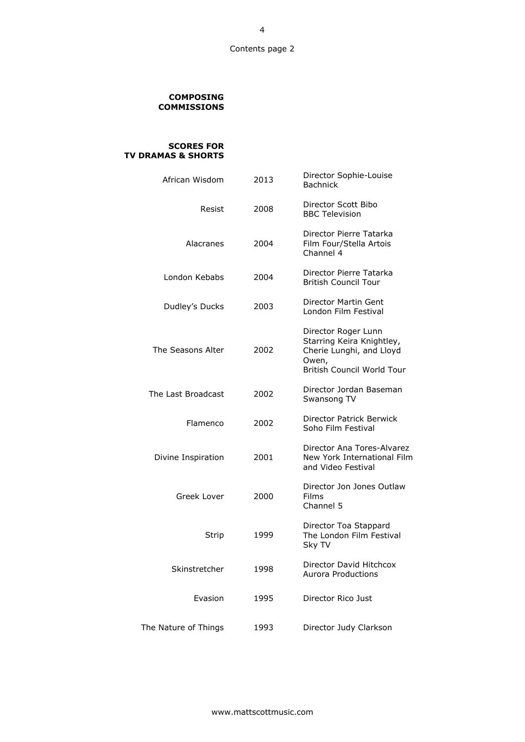### 00CO **COMPOSING COMMISSIONS**

#### **DR SCORES FOR TV DRAMAS & SHORTS**

| African Wisdom       | 2013 | Director Sophie-Louise<br><b>Bachnick</b>                                                                                  |
|----------------------|------|----------------------------------------------------------------------------------------------------------------------------|
| Resist               | 2008 | Director Scott Bibo<br><b>BBC Television</b>                                                                               |
| Alacranes            | 2004 | Director Pierre Tatarka<br>Film Four/Stella Artois<br>Channel 4                                                            |
| London Kebabs        | 2004 | Director Pierre Tatarka<br><b>British Council Tour</b>                                                                     |
| Dudley's Ducks       | 2003 | Director Martin Gent<br>London Film Festival                                                                               |
| The Seasons Alter    | 2002 | Director Roger Lunn<br>Starring Keira Knightley,<br>Cherie Lunghi, and Lloyd<br>Owen,<br><b>British Council World Tour</b> |
| The Last Broadcast   | 2002 | Director Jordan Baseman<br>Swansong TV                                                                                     |
| Flamenco             | 2002 | Director Patrick Berwick<br>Soho Film Festival                                                                             |
| Divine Inspiration   | 2001 | Director Ana Tores-Alvarez<br>New York International Film<br>and Video Festival                                            |
| Greek Lover          | 2000 | Director Jon Jones Outlaw<br><b>Films</b><br>Channel 5                                                                     |
| Strip                | 1999 | Director Toa Stappard<br>The London Film Festival<br>Sky TV                                                                |
| Skinstretcher        | 1998 | Director David Hitchcox<br><b>Aurora Productions</b>                                                                       |
| Evasion              | 1995 | Director Rico Just                                                                                                         |
| The Nature of Things | 1993 | Director Judy Clarkson                                                                                                     |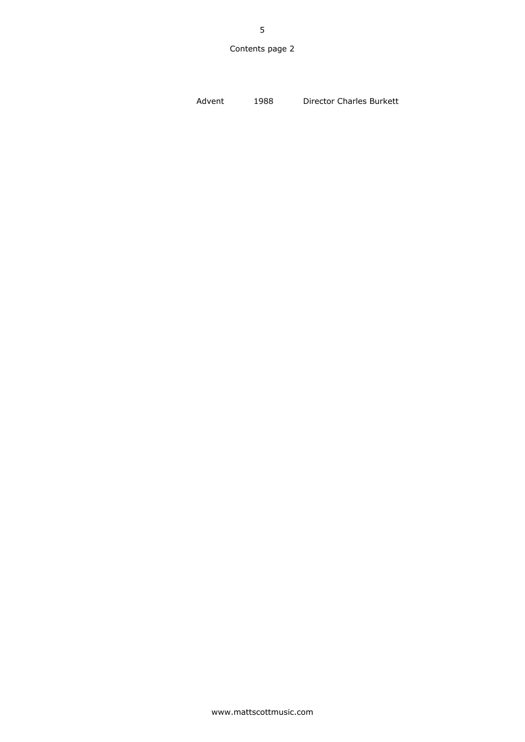5

Advent 1988 Director Charles Burkett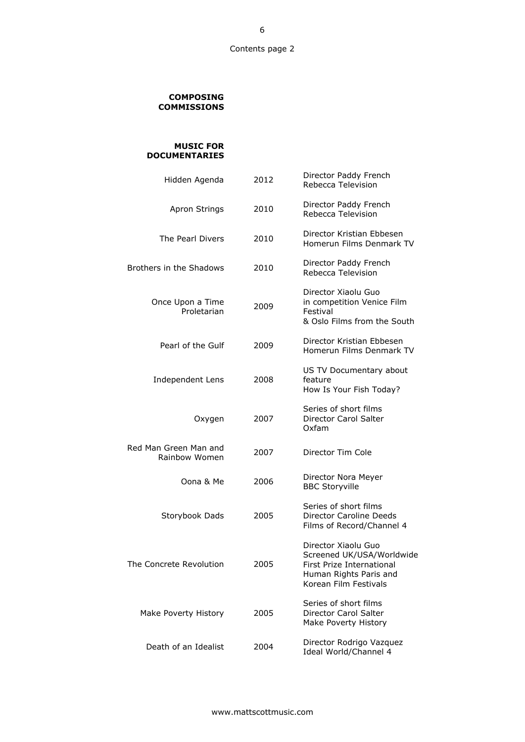### 00CO **COMPOSING COMMISSIONS**

### **MUSIC FOR DOCUMENTARIES**

| Hidden Agenda                          |             | 2012 | Director Paddy French<br>Rebecca Television                                                                                      |
|----------------------------------------|-------------|------|----------------------------------------------------------------------------------------------------------------------------------|
| Apron Strings                          |             | 2010 | Director Paddy French<br>Rebecca Television                                                                                      |
| The Pearl Divers                       |             | 2010 | Director Kristian Ebbesen<br>Homerun Films Denmark TV                                                                            |
| Brothers in the Shadows                |             | 2010 | Director Paddy French<br>Rebecca Television                                                                                      |
| Once Upon a Time                       | Proletarian | 2009 | Director Xiaolu Guo<br>in competition Venice Film<br>Festival<br>& Oslo Films from the South                                     |
| Pearl of the Gulf                      |             | 2009 | Director Kristian Ebbesen<br>Homerun Films Denmark TV                                                                            |
| Independent Lens                       |             | 2008 | US TV Documentary about<br>feature<br>How Is Your Fish Today?                                                                    |
|                                        | Oxygen      | 2007 | Series of short films<br>Director Carol Salter<br>Oxfam                                                                          |
| Red Man Green Man and<br>Rainbow Women |             | 2007 | Director Tim Cole                                                                                                                |
|                                        | Oona & Me   | 2006 | Director Nora Meyer<br><b>BBC Storyville</b>                                                                                     |
| Storybook Dads                         |             | 2005 | Series of short films<br>Director Caroline Deeds<br>Films of Record/Channel 4                                                    |
| The Concrete Revolution                |             | 2005 | Director Xiaolu Guo<br>Screened UK/USA/Worldwide<br>First Prize International<br>Human Rights Paris and<br>Korean Film Festivals |
| Make Poverty History                   |             | 2005 | Series of short films<br>Director Carol Salter<br>Make Poverty History                                                           |
| Death of an Idealist                   |             | 2004 | Director Rodrigo Vazquez<br>Ideal World/Channel 4                                                                                |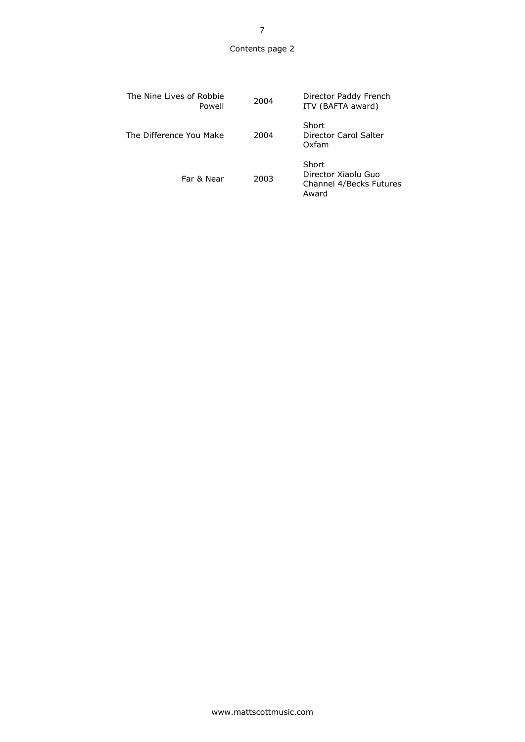| The Nine Lives of Robbie<br>Powell | 2004 | Director Paddy French<br>ITV (BAFTA award)                       |
|------------------------------------|------|------------------------------------------------------------------|
| The Difference You Make            | 2004 | Short<br>Director Carol Salter<br>Oxfam                          |
| Far & Near                         | 2003 | Short<br>Director Xiaolu Guo<br>Channel 4/Becks Futures<br>Award |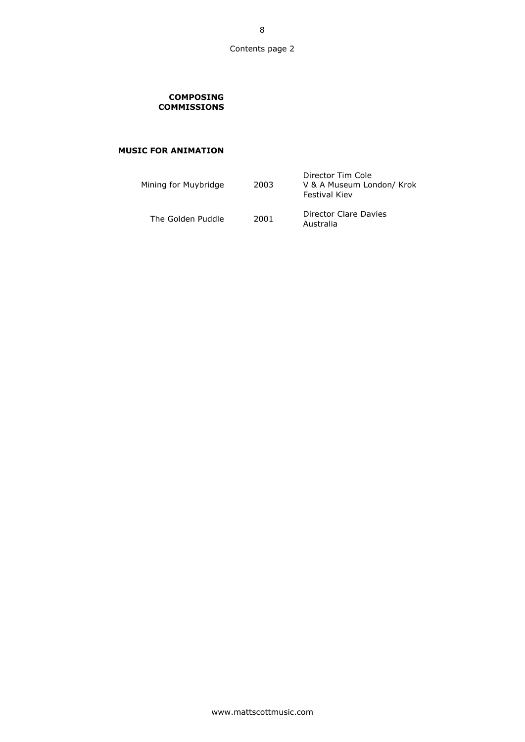## 00CO **COMPOSING COMMISSIONS**

# **MUSIC FOR ANIMATION**

| Mining for Muybridge | 2003 | Director Tim Cole<br>V & A Museum London/ Krok<br><b>Festival Kiev</b> |
|----------------------|------|------------------------------------------------------------------------|
| The Golden Puddle    | 2001 | Director Clare Davies<br>Australia                                     |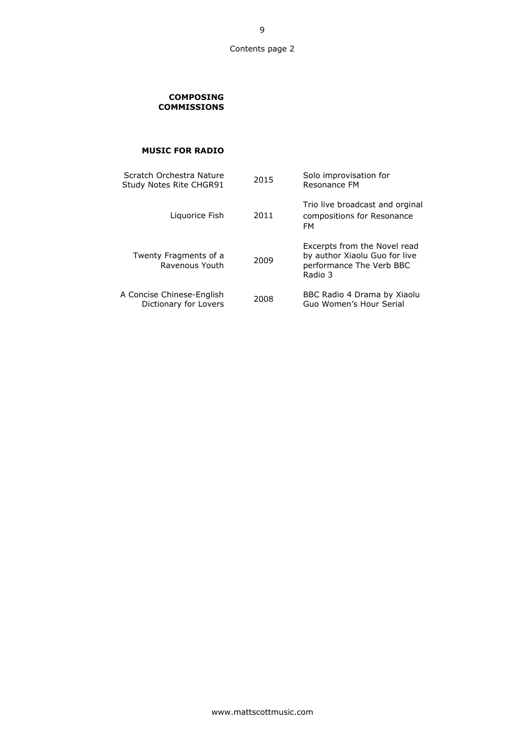## 00CO **COMPOSING COMMISSIONS**

# 05RA **MUSIC FOR RADIO**

| Scratch Orchestra Nature<br>Study Notes Rite CHGR91 | 2015 | Solo improvisation for<br>Resonance FM                                                               |
|-----------------------------------------------------|------|------------------------------------------------------------------------------------------------------|
| Liguorice Fish                                      | 2011 | Trio live broadcast and orginal<br>compositions for Resonance<br>FM                                  |
| Twenty Fragments of a<br>Ravenous Youth             | 2009 | Excerpts from the Novel read<br>by author Xiaolu Guo for live<br>performance The Verb BBC<br>Radio 3 |
| A Concise Chinese-English<br>Dictionary for Lovers  | 2008 | BBC Radio 4 Drama by Xiaolu<br>Guo Women's Hour Serial                                               |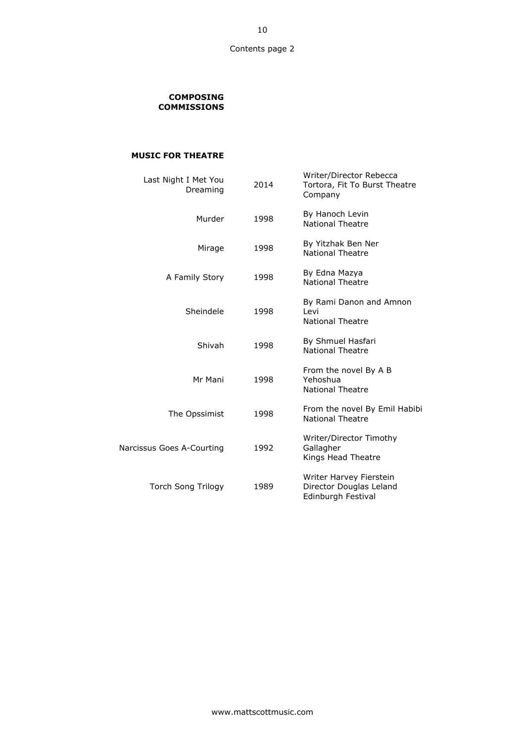### 00CO **COMPOSING COMMISSIONS**

## **MUSIC FOR THEATRE**

|                           | Last Night I Met You<br>Dreaming | 2014 | Writer/Director Rebecca<br>Tortora, Fit To Burst Theatre<br>Company      |
|---------------------------|----------------------------------|------|--------------------------------------------------------------------------|
|                           | Murder                           | 1998 | By Hanoch Levin<br><b>National Theatre</b>                               |
|                           | Mirage                           | 1998 | By Yitzhak Ben Ner<br><b>National Theatre</b>                            |
|                           | A Family Story                   | 1998 | By Edna Mazya<br><b>National Theatre</b>                                 |
|                           | Sheindele                        | 1998 | By Rami Danon and Amnon<br>Levi<br><b>National Theatre</b>               |
|                           | Shivah                           | 1998 | By Shmuel Hasfari<br><b>National Theatre</b>                             |
|                           | Mr Mani                          | 1998 | From the novel By A B<br>Yehoshua<br><b>National Theatre</b>             |
|                           | The Opssimist                    | 1998 | From the novel By Emil Habibi<br><b>National Theatre</b>                 |
| Narcissus Goes A-Courting |                                  | 1992 | Writer/Director Timothy<br>Gallagher<br>Kings Head Theatre               |
|                           | <b>Torch Song Trilogy</b>        | 1989 | Writer Harvey Fierstein<br>Director Douglas Leland<br>Edinburgh Festival |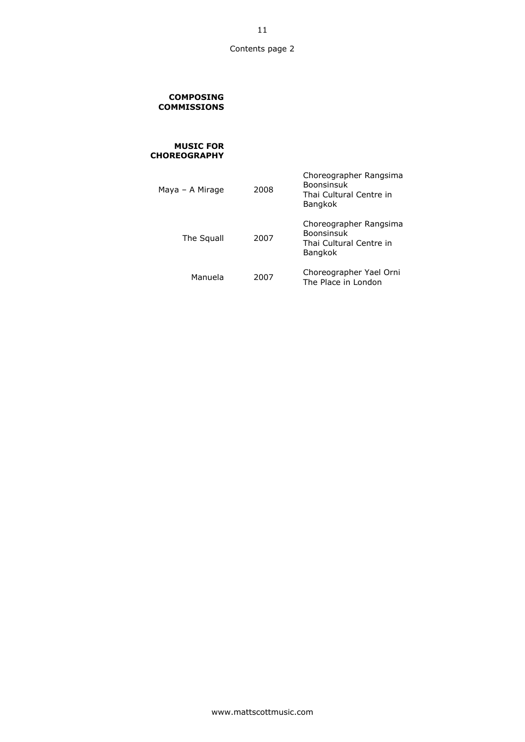#### 00CO **COMPOSING COMMISSIONS**

#### **MUSIC FOR CHOREOGRAPHY**

| Maya – A Mirage | 2008 | Choreographer Rangsima<br><b>Boonsinsuk</b><br>Thai Cultural Centre in<br><b>Bangkok</b> |
|-----------------|------|------------------------------------------------------------------------------------------|
| The Squall      | 2007 | Choreographer Rangsima<br><b>Boonsinsuk</b><br>Thai Cultural Centre in<br><b>Bangkok</b> |
| Manuela         | 2007 | Choreographer Yael Orni<br>The Place in London                                           |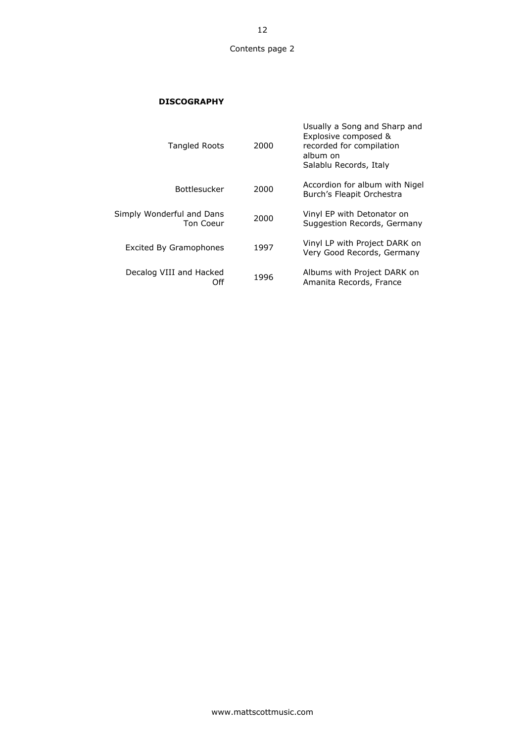# 08DI **DISCOGRAPHY**

| Usually a Song and Sharp and<br>Explosive composed &<br>recorded for compilation<br>album on<br>Salablu Records, Italy | 2000 | <b>Tangled Roots</b>                   |
|------------------------------------------------------------------------------------------------------------------------|------|----------------------------------------|
| Accordion for album with Nigel<br>Burch's Fleapit Orchestra                                                            | 2000 | <b>Bottlesucker</b>                    |
| Vinyl EP with Detonator on<br>Suggestion Records, Germany                                                              | 2000 | Simply Wonderful and Dans<br>Ton Coeur |
| Vinyl LP with Project DARK on<br>Very Good Records, Germany                                                            | 1997 | <b>Excited By Gramophones</b>          |
| Albums with Project DARK on<br>Amanita Records, France                                                                 | 1996 | Decalog VIII and Hacked<br>Off         |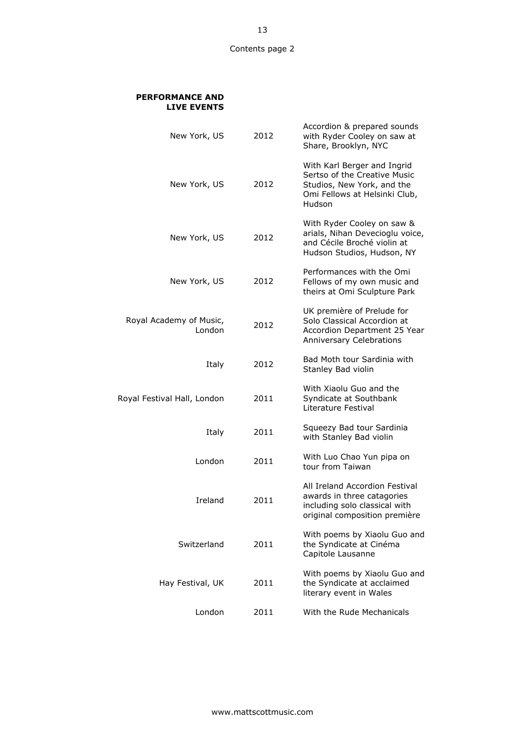### **PERFORMANCE AND LIVE EVENTS**

| New York, US                      | 2012 | Accordion & prepared sounds<br>with Ryder Cooley on saw at<br>Share, Brooklyn, NYC                                                   |
|-----------------------------------|------|--------------------------------------------------------------------------------------------------------------------------------------|
| New York, US                      | 2012 | With Karl Berger and Ingrid<br>Sertso of the Creative Music<br>Studios, New York, and the<br>Omi Fellows at Helsinki Club,<br>Hudson |
| New York, US                      | 2012 | With Ryder Cooley on saw &<br>arials, Nihan Devecioglu voice,<br>and Cécile Broché violin at<br>Hudson Studios, Hudson, NY           |
| New York, US                      | 2012 | Performances with the Omi<br>Fellows of my own music and<br>theirs at Omi Sculpture Park                                             |
| Royal Academy of Music,<br>London | 2012 | UK première of Prelude for<br>Solo Classical Accordion at<br>Accordion Department 25 Year<br><b>Anniversary Celebrations</b>         |
| Italy                             | 2012 | Bad Moth tour Sardinia with<br>Stanley Bad violin                                                                                    |
| Royal Festival Hall, London       | 2011 | With Xiaolu Guo and the<br>Syndicate at Southbank<br>Literature Festival                                                             |
| Italy                             | 2011 | Squeezy Bad tour Sardinia<br>with Stanley Bad violin                                                                                 |
| London                            | 2011 | With Luo Chao Yun pipa on<br>tour from Taiwan                                                                                        |
| Ireland                           | 2011 | All Ireland Accordion Festival<br>awards in three catagories<br>including solo classical with<br>original composition première       |
| Switzerland                       | 2011 | With poems by Xiaolu Guo and<br>the Syndicate at Cinéma<br>Capitole Lausanne                                                         |
| Hay Festival, UK                  | 2011 | With poems by Xiaolu Guo and<br>the Syndicate at acclaimed<br>literary event in Wales                                                |
| London                            | 2011 | With the Rude Mechanicals                                                                                                            |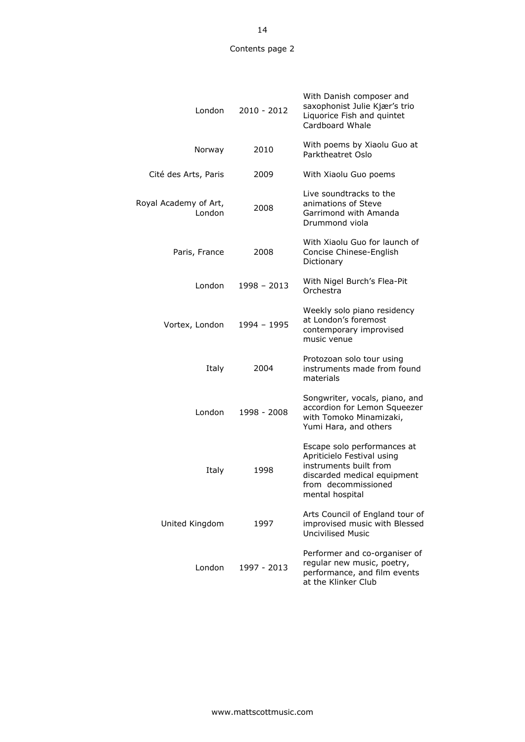| London                          | 2010 - 2012   | With Danish composer and<br>saxophonist Julie Kjær's trio<br>Liquorice Fish and quintet<br>Cardboard Whale                                                   |
|---------------------------------|---------------|--------------------------------------------------------------------------------------------------------------------------------------------------------------|
| Norway                          | 2010          | With poems by Xiaolu Guo at<br>Parktheatret Oslo                                                                                                             |
| Cité des Arts, Paris            | 2009          | With Xiaolu Guo poems                                                                                                                                        |
| Royal Academy of Art,<br>London | 2008          | Live soundtracks to the<br>animations of Steve<br>Garrimond with Amanda<br>Drummond viola                                                                    |
| Paris, France                   | 2008          | With Xiaolu Guo for launch of<br>Concise Chinese-English<br>Dictionary                                                                                       |
| London                          | $1998 - 2013$ | With Nigel Burch's Flea-Pit<br>Orchestra                                                                                                                     |
| Vortex, London                  | 1994 - 1995   | Weekly solo piano residency<br>at London's foremost<br>contemporary improvised<br>music venue                                                                |
| Italy                           | 2004          | Protozoan solo tour using<br>instruments made from found<br>materials                                                                                        |
| London                          | 1998 - 2008   | Songwriter, vocals, piano, and<br>accordion for Lemon Squeezer<br>with Tomoko Minamizaki,<br>Yumi Hara, and others                                           |
| Italy                           | 1998          | Escape solo performances at<br>Apriticielo Festival using<br>instruments built from<br>discarded medical equipment<br>from decommissioned<br>mental hospital |
| United Kingdom                  | 1997          | Arts Council of England tour of<br>improvised music with Blessed<br><b>Uncivilised Music</b>                                                                 |
| London                          | 1997 - 2013   | Performer and co-organiser of<br>regular new music, poetry,<br>performance, and film events<br>at the Klinker Club                                           |

14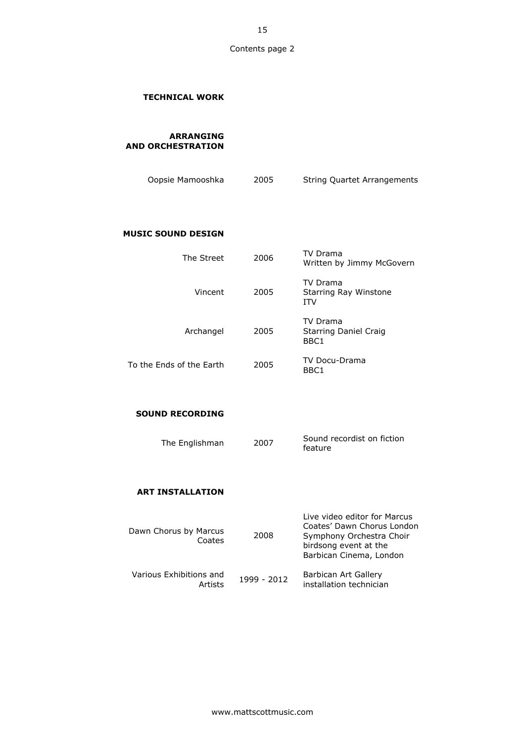## 10.1 **TECHNICAL WORK**

10AR **ARRANGING AND ORCHESTRATION**

| Oopsie Mamooshka | 2005 | <b>String Quartet Arrangements</b> |
|------------------|------|------------------------------------|

## **MUSIC SOUND DESIGN**

| The Street               | 2006 | TV Drama<br>Written by Jimmy McGovern                  |
|--------------------------|------|--------------------------------------------------------|
| Vincent                  | 2005 | TV Drama<br><b>Starring Ray Winstone</b><br><b>ITV</b> |
| Archangel                | 2005 | TV Drama<br><b>Starring Daniel Craig</b><br>BBC1       |
| To the Fnds of the Farth | 2005 | <b>TV Docu-Drama</b><br>BBC1                           |

# **SOUND RECORDING**

| The Englishman | 2007 | Sound recordist on fiction<br>feature |
|----------------|------|---------------------------------------|
|----------------|------|---------------------------------------|

# **ART INSTALLATION**

| Dawn Chorus by Marcus<br>Coates    | 2008        | Live video editor for Marcus<br>Coates' Dawn Chorus London<br>Symphony Orchestra Choir<br>birdsong event at the<br>Barbican Cinema, London |
|------------------------------------|-------------|--------------------------------------------------------------------------------------------------------------------------------------------|
| Various Exhibitions and<br>Artists | 1999 - 2012 | Barbican Art Gallery<br>installation technician                                                                                            |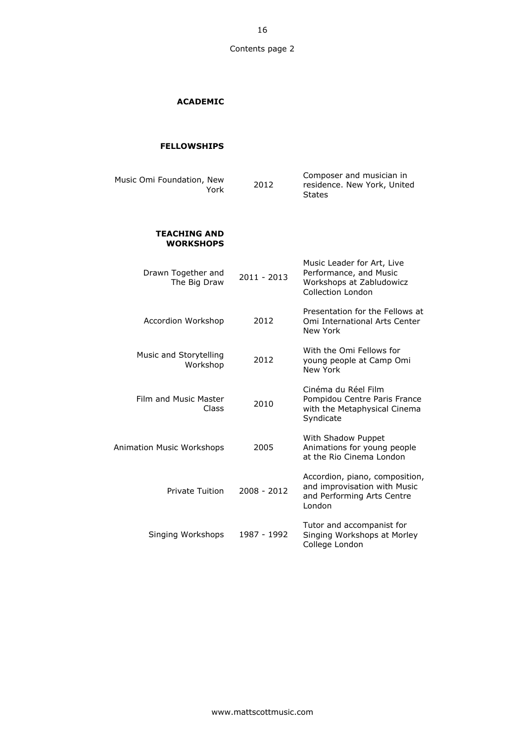# 15AC **ACADEMIC**

### 14FE **FELLOWSHIPS**

| Music Omi Foundation, New<br>York       | 2012          | Composer and musician in<br>residence. New York, United<br><b>States</b>                               |
|-----------------------------------------|---------------|--------------------------------------------------------------------------------------------------------|
| <b>TEACHING AND</b><br><b>WORKSHOPS</b> |               |                                                                                                        |
| Drawn Together and<br>The Big Draw      | $2011 - 2013$ | Music Leader for Art, Live<br>Performance, and Music<br>Workshops at Zabludowicz<br>Collection London  |
| Accordion Workshop                      | 2012          | Presentation for the Fellows at<br>Omi International Arts Center<br>New York                           |
| Music and Storytelling<br>Workshop      | 2012          | With the Omi Fellows for<br>young people at Camp Omi<br>New York                                       |
| Film and Music Master<br>Class          | 2010          | Cinéma du Réel Film<br>Pompidou Centre Paris France<br>with the Metaphysical Cinema<br>Syndicate       |
| Animation Music Workshops               | 2005          | With Shadow Puppet<br>Animations for young people<br>at the Rio Cinema London                          |
| Private Tuition                         | 2008 - 2012   | Accordion, piano, composition,<br>and improvisation with Music<br>and Performing Arts Centre<br>London |
| Singing Workshops                       | 1987 - 1992   | Tutor and accompanist for<br>Singing Workshops at Morley<br>College London                             |